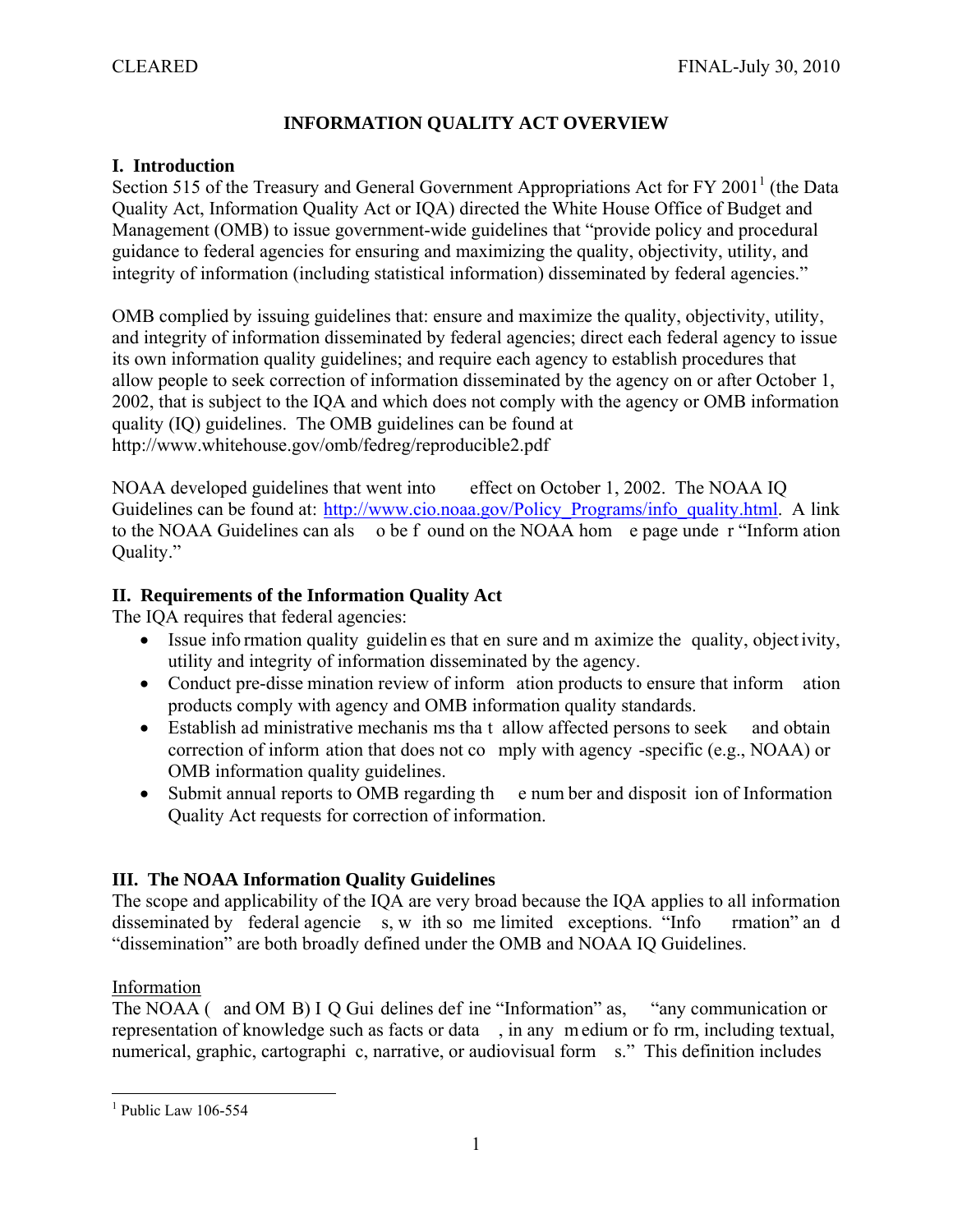# **INFORMATION QUALITY ACT OVERVIEW**

### **I. Introduction**

Section 515 of the Treasury and General Government Appropriations Act for FY 2001<sup>1</sup> (the Data Quality Act, Information Quality Act or IQA) directed the White House Office of Budget and Management (OMB) to issue government-wide guidelines that "provide policy and procedural guidance to federal agencies for ensuring and maximizing the quality, objectivity, utility, and integrity of information (including statistical information) disseminated by federal agencies."

OMB complied by issuing guidelines that: ensure and maximize the quality, objectivity, utility, and integrity of information disseminated by federal agencies; direct each federal agency to issue its own information quality guidelines; and require each agency to establish procedures that allow people to seek correction of information disseminated by the agency on or after October 1, 2002, that is subject to the IQA and which does not comply with the agency or OMB information quality (IQ) guidelines. The OMB guidelines can be found at http://www.whitehouse.gov/omb/fedreg/reproducible2.pdf

NOAA developed guidelines that went into effect on October 1, 2002. The NOAA IQ Guidelines can be found at: http://www.cio.noaa.gov/Policy\_Programs/info\_quality.html. A link to the NOAA Guidelines can als o be f ound on the NOAA hom e page unde r "Inform ation Quality."

# **II. Requirements of the Information Quality Act**

The IQA requires that federal agencies:

- Issue info rmation quality guidelin es that en sure and m aximize the quality, object ivity, utility and integrity of information disseminated by the agency.
- Conduct pre-disse mination review of inform ation products to ensure that inform ation products comply with agency and OMB information quality standards.
- Establish ad ministrative mechanis ms tha t allow affected persons to seek and obtain correction of inform ation that does not co mply with agency -specific (e.g., NOAA) or OMB information quality guidelines.
- Submit annual reports to OMB regarding the enum ber and disposition of Information Quality Act requests for correction of information.

# **III. The NOAA Information Quality Guidelines**

The scope and applicability of the IQA are very broad because the IQA applies to all information disseminated by federal agencie s, w ith so me limited exceptions. "Info rmation" an d "dissemination" are both broadly defined under the OMB and NOAA IQ Guidelines.

Information

The NOAA (and OM B) I Q Gui delines def ine "Information" as, "any communication or representation of knowledge such as facts or data , in any m edium or fo rm, including textual, numerical, graphic, cartographi c, narrative, or audiovisual form s." This definition includes

 $1$  Public Law 106-554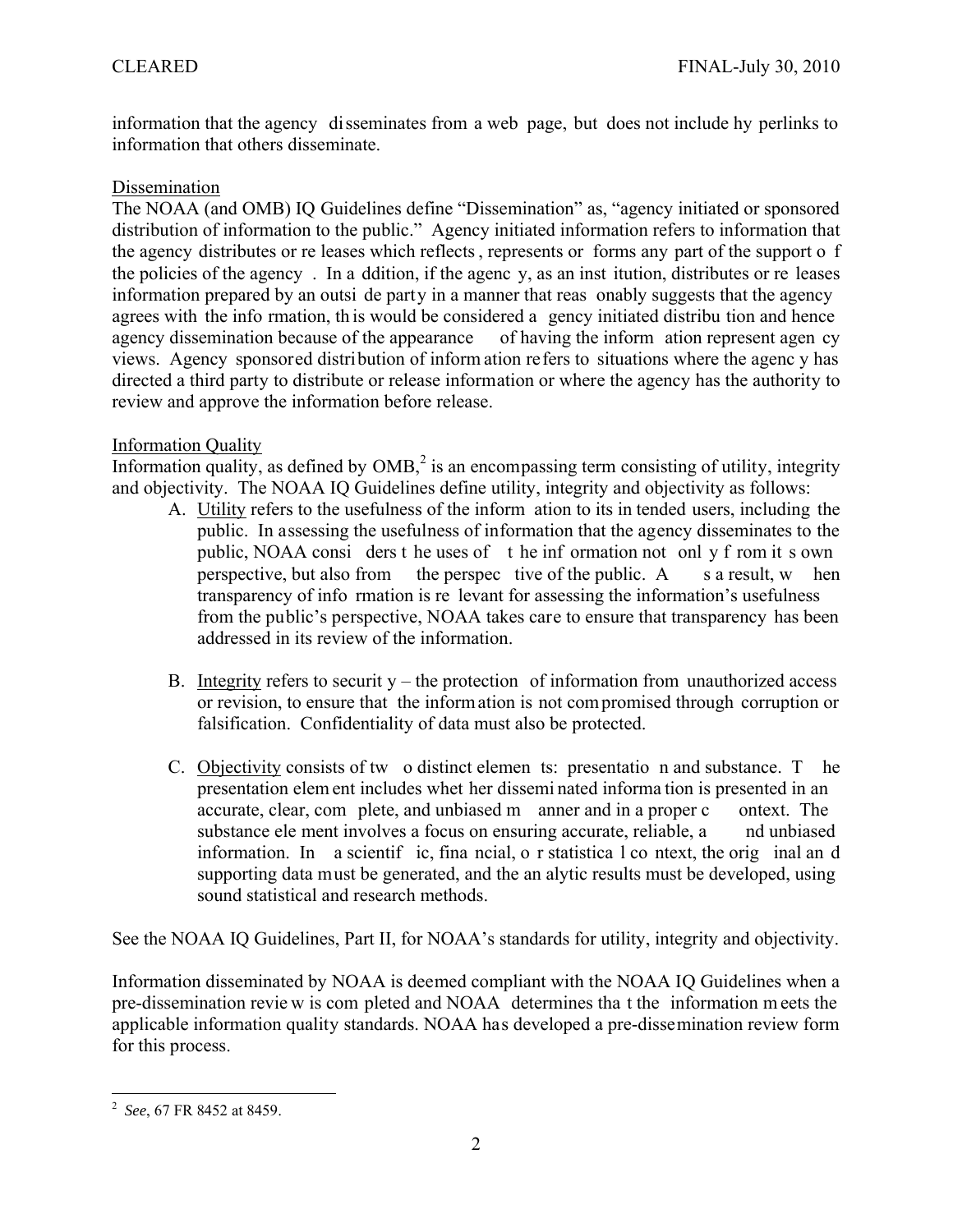information that the agency disseminates from a web page, but does not include hy perlinks to information that others disseminate.

#### Dissemination

The NOAA (and OMB) IQ Guidelines define "Dissemination" as, "agency initiated or sponsored distribution of information to the public." Agency initiated information refers to information that the agency distributes or re leases which reflects , represents or forms any part of the support o f the policies of the agency . In a ddition, if the agenc y, as an inst itution, distributes or re leases information prepared by an outsi de party in a manner that reas onably suggests that the agency agrees with the info rmation, th is would be considered a gency initiated distribu tion and hence agency dissemination because of the appearance of having the inform ation represent agen cy views. Agency sponsored distribution of inform ation refers to situations where the agenc y has directed a third party to distribute or release information or where the agency has the authority to review and approve the information before release.

### Information Quality

Information quality, as defined by  $OMB<sub>l</sub><sup>2</sup>$  is an encompassing term consisting of utility, integrity and objectivity. The NOAA IQ Guidelines define utility, integrity and objectivity as follows:

- A. Utility refers to the usefulness of the inform ation to its in tended users, including the public. In assessing the usefulness of information that the agency disseminates to the public, NOAA consi ders t he uses of t he inf ormation not onl y f rom it s own perspective, but also from the perspec tive of the public.  $A$  s a result, w hen transparency of info rmation is re levant for assessing the information's usefulness from the public's perspective, NOAA takes care to ensure that transparency has been addressed in its review of the information.
- B. Integrity refers to securit  $y$  the protection of information from unauthorized access or revision, to ensure that the information is not compromised through corruption or falsification. Confidentiality of data must also be protected.
- C. Objectivity consists of tw o distinct elemen ts: presentatio n and substance. T he presentation elem ent includes whet her dissemi nated informa tion is presented in an accurate, clear, com plete, and unbiased m anner and in a proper c ontext. The substance ele ment involves a focus on ensuring accurate, reliable, a nd unbiased information. In a scientif ic, fina ncial, o r statistica l co ntext, the orig inal an d supporting data must be generated, and the an alytic results must be developed, using sound statistical and research methods.

See the NOAA IQ Guidelines, Part II, for NOAA's standards for utility, integrity and objectivity.

Information disseminated by NOAA is deemed compliant with the NOAA IQ Guidelines when a pre-dissemination revie w is com pleted and NOAA determines tha t the information m eets the applicable information quality standards. NOAA has developed a pre-dissemination review form for this process.

 2 *See*, 67 FR 8452 at 8459.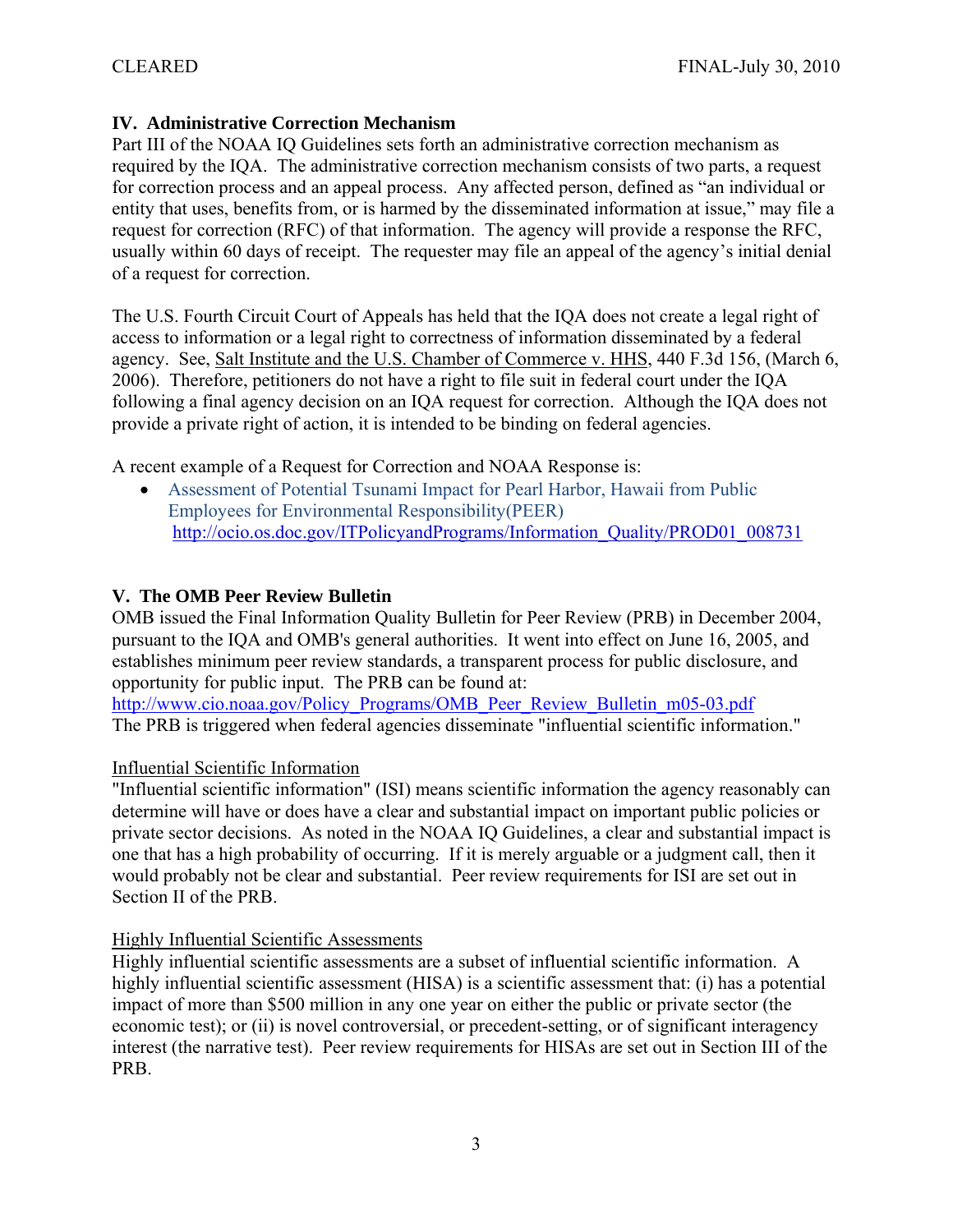# **IV. Administrative Correction Mechanism**

Part III of the NOAA IQ Guidelines sets forth an administrative correction mechanism as required by the IQA. The administrative correction mechanism consists of two parts, a request for correction process and an appeal process. Any affected person, defined as "an individual or entity that uses, benefits from, or is harmed by the disseminated information at issue," may file a request for correction (RFC) of that information. The agency will provide a response the RFC, usually within 60 days of receipt. The requester may file an appeal of the agency's initial denial of a request for correction.

The U.S. Fourth Circuit Court of Appeals has held that the IQA does not create a legal right of access to information or a legal right to correctness of information disseminated by a federal agency. See, Salt Institute and the U.S. Chamber of Commerce v. HHS, 440 F.3d 156, (March 6, 2006). Therefore, petitioners do not have a right to file suit in federal court under the IQA following a final agency decision on an IQA request for correction. Although the IQA does not provide a private right of action, it is intended to be binding on federal agencies.

A recent example of a Request for Correction and NOAA Response is:

 Assessment of Potential Tsunami Impact for Pearl Harbor, Hawaii from Public Employees for Environmental Responsibility(PEER) http://ocio.os.doc.gov/ITPolicyandPrograms/Information\_Quality/PROD01\_008731

### **V. The OMB Peer Review Bulletin**

OMB issued the Final Information Quality Bulletin for Peer Review (PRB) in December 2004, pursuant to the IQA and OMB's general authorities. It went into effect on June 16, 2005, and establishes minimum peer review standards, a transparent process for public disclosure, and opportunity for public input. The PRB can be found at:

http://www.cio.noaa.gov/Policy\_Programs/OMB\_Peer\_Review\_Bulletin\_m05-03.pdf The PRB is triggered when federal agencies disseminate "influential scientific information."

#### Influential Scientific Information

"Influential scientific information" (ISI) means scientific information the agency reasonably can determine will have or does have a clear and substantial impact on important public policies or private sector decisions. As noted in the NOAA IQ Guidelines, a clear and substantial impact is one that has a high probability of occurring. If it is merely arguable or a judgment call, then it would probably not be clear and substantial. Peer review requirements for ISI are set out in Section II of the PRB.

#### Highly Influential Scientific Assessments

Highly influential scientific assessments are a subset of influential scientific information. A highly influential scientific assessment (HISA) is a scientific assessment that: (i) has a potential impact of more than \$500 million in any one year on either the public or private sector (the economic test); or (ii) is novel controversial, or precedent-setting, or of significant interagency interest (the narrative test). Peer review requirements for HISAs are set out in Section III of the PRB.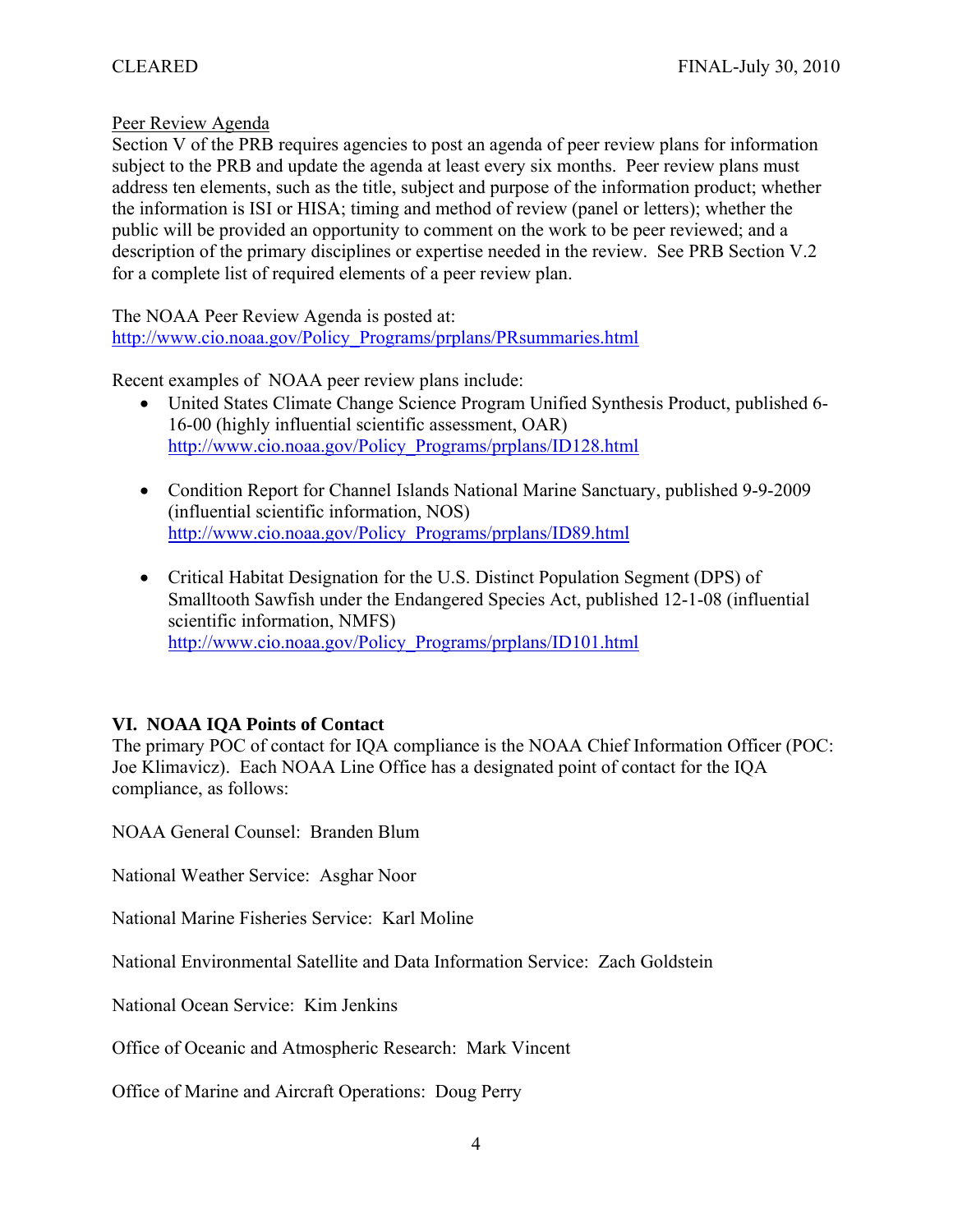#### Peer Review Agenda

Section V of the PRB requires agencies to post an agenda of peer review plans for information subject to the PRB and update the agenda at least every six months. Peer review plans must address ten elements, such as the title, subject and purpose of the information product; whether the information is ISI or HISA; timing and method of review (panel or letters); whether the public will be provided an opportunity to comment on the work to be peer reviewed; and a description of the primary disciplines or expertise needed in the review. See PRB Section V.2 for a complete list of required elements of a peer review plan.

The NOAA Peer Review Agenda is posted at:

http://www.cio.noaa.gov/Policy\_Programs/prplans/PRsummaries.html

Recent examples of NOAA peer review plans include:

- United States Climate Change Science Program Unified Synthesis Product, published 6- 16-00 (highly influential scientific assessment, OAR) http://www.cio.noaa.gov/Policy\_Programs/prplans/ID128.html
- Condition Report for Channel Islands National Marine Sanctuary, published 9-9-2009 (influential scientific information, NOS) http://www.cio.noaa.gov/Policy\_Programs/prplans/ID89.html
- Critical Habitat Designation for the U.S. Distinct Population Segment (DPS) of Smalltooth Sawfish under the Endangered Species Act, published 12-1-08 (influential scientific information, NMFS) http://www.cio.noaa.gov/Policy\_Programs/prplans/ID101.html

# **VI. NOAA IQA Points of Contact**

The primary POC of contact for IQA compliance is the NOAA Chief Information Officer (POC: Joe Klimavicz). Each NOAA Line Office has a designated point of contact for the IQA compliance, as follows:

NOAA General Counsel: Branden Blum

National Weather Service: Asghar Noor

National Marine Fisheries Service: Karl Moline

National Environmental Satellite and Data Information Service: Zach Goldstein

National Ocean Service: Kim Jenkins

Office of Oceanic and Atmospheric Research: Mark Vincent

Office of Marine and Aircraft Operations: Doug Perry